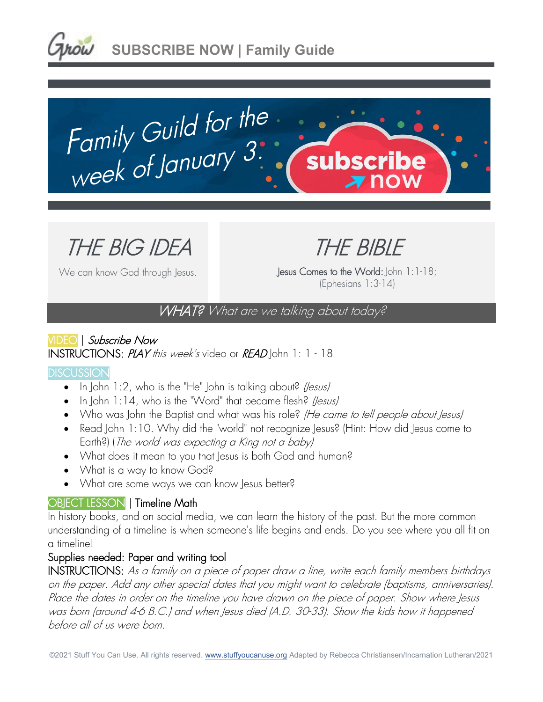



THE BIG IDEA

We can know God through Jesus.

THE BIBLE

Jesus Comes to the World: John 1:1-18; (Ephesians 1:3-14)

WHAT? What are we talking about today?

# VIDEO | Subscribe Now INSTRUCTIONS: PLAY this week's video or READ John 1: 1 - 18

#### **DISCUSSION**

- In John  $1:2$ , who is the "He" John is talking about? *(Jesus)*
- In John 1:14, who is the "Word" that became flesh? (lesus)
- Who was John the Baptist and what was his role? (He came to tell people about Jesus)
- Read John 1:10. Why did the "world" not recognize Jesus? (Hint: How did Jesus come to Earth?) (The world was expecting a King not a baby)
- What does it mean to you that Jesus is both God and human?
- What is a way to know God?
- What are some ways we can know Jesus better?

# OBIECT LESSON | Timeline Math

In history books, and on social media, we can learn the history of the past. But the more common understanding of a timeline is when someone's life begins and ends. Do you see where you all fit on a timeline!

# Supplies needed: Paper and writing tool

INSTRUCTIONS: As a family on a piece of paper draw a line, write each family members birthdays on the paper. Add any other special dates that you might want to celebrate (baptisms, anniversaries). Place the dates in order on the timeline you have drawn on the piece of paper. Show where Jesus was born (around 4-6 B.C.) and when Jesus died (A.D. 30-33). Show the kids how it happened before all of us were born.